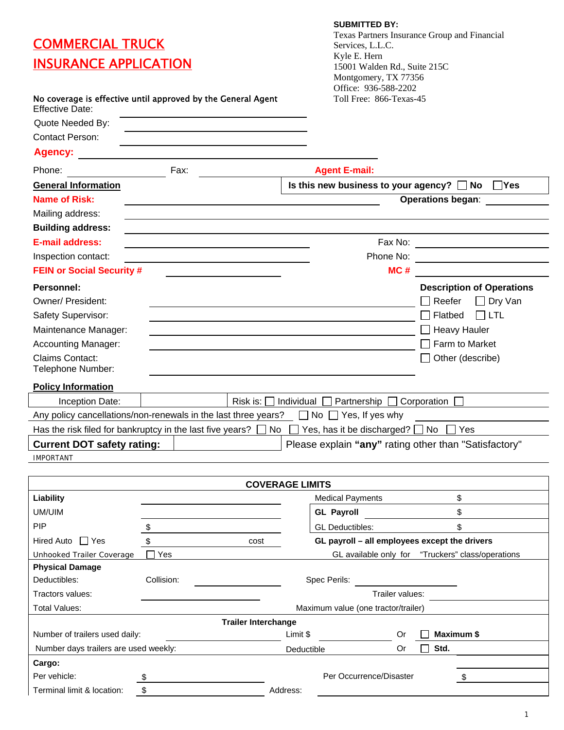# **COMMERCIAL TRUCK** INSURANCE APPLICATION

#### **SUBMITTED BY:**

Texas Partners Insurance Group and Financial Services, L.L.C. Kyle E. Hern 15001 Walden Rd., Suite 215C Montgomery, TX 77356 Office: 936-588-2202

| No coverage is effective until approved by the General Agent<br><b>Effective Date:</b>          |                                                                                                                       | Toll Free: 866-Texas-45                                        |                                        |  |  |  |
|-------------------------------------------------------------------------------------------------|-----------------------------------------------------------------------------------------------------------------------|----------------------------------------------------------------|----------------------------------------|--|--|--|
| Quote Needed By:                                                                                |                                                                                                                       |                                                                |                                        |  |  |  |
| <b>Contact Person:</b>                                                                          | <u> 1989 - Johann Barbara, martin amerikan basar dan berasal dan berasal dalam basar dalam basar dalam basar dala</u> |                                                                |                                        |  |  |  |
|                                                                                                 |                                                                                                                       |                                                                |                                        |  |  |  |
| Phone:                                                                                          | Fax:                                                                                                                  | <b>Agent E-mail:</b>                                           |                                        |  |  |  |
| <b>General Information</b>                                                                      |                                                                                                                       | Is this new business to your agency? $\Box$ No                 | $\Box$ Yes                             |  |  |  |
| <b>Name of Risk:</b>                                                                            |                                                                                                                       |                                                                | <b>Operations began:</b>               |  |  |  |
| Mailing address:                                                                                |                                                                                                                       |                                                                |                                        |  |  |  |
| <b>Building address:</b>                                                                        |                                                                                                                       |                                                                |                                        |  |  |  |
| <b>E-mail address:</b>                                                                          |                                                                                                                       |                                                                | Fax No: __________________________     |  |  |  |
| Inspection contact:                                                                             | <u> 1989 - Johann Barbara, martin amerikan basar dan berasal dan berasal dalam basar dalam basar dalam basar dala</u> | Phone No:                                                      |                                        |  |  |  |
| <b>FEIN or Social Security #</b>                                                                |                                                                                                                       | MC#                                                            |                                        |  |  |  |
| <b>Personnel:</b>                                                                               |                                                                                                                       |                                                                | <b>Description of Operations</b>       |  |  |  |
| <b>Owner/President:</b>                                                                         |                                                                                                                       |                                                                | $\Box$ Dry Van<br>$\sqcap$ Reefer      |  |  |  |
| Safety Supervisor:                                                                              |                                                                                                                       |                                                                | <b>LTL</b><br>$\Box$ Flatbed<br>$\Box$ |  |  |  |
| Maintenance Manager:                                                                            |                                                                                                                       |                                                                | $\Box$ Heavy Hauler                    |  |  |  |
| <b>Accounting Manager:</b>                                                                      |                                                                                                                       |                                                                | Farm to Market                         |  |  |  |
| <b>Claims Contact:</b>                                                                          |                                                                                                                       |                                                                | Other (describe)                       |  |  |  |
| Telephone Number:                                                                               |                                                                                                                       |                                                                |                                        |  |  |  |
| <b>Policy Information</b>                                                                       |                                                                                                                       |                                                                |                                        |  |  |  |
| Inception Date:                                                                                 | Risk is:                                                                                                              | Individual<br>Partnership                                      | Corporation                            |  |  |  |
| Any policy cancellations/non-renewals in the last three years? $\Box$ No $\Box$ Yes, If yes why |                                                                                                                       |                                                                |                                        |  |  |  |
| Has the risk filed for bankruptcy in the last five years?                                       |                                                                                                                       | Yes, has it be discharged? $\Box$ No $\Box$ Yes<br>$No$ $\Box$ |                                        |  |  |  |
|                                                                                                 | Please explain "any" rating other than "Satisfactory"<br><b>Current DOT safety rating:</b>                            |                                                                |                                        |  |  |  |
| <b>IMPORTANT</b>                                                                                |                                                                                                                       |                                                                |                                        |  |  |  |
|                                                                                                 |                                                                                                                       |                                                                |                                        |  |  |  |
|                                                                                                 |                                                                                                                       | <b>COVERAGE LIMITS</b>                                         |                                        |  |  |  |
| Liability                                                                                       |                                                                                                                       | <b>Medical Payments</b>                                        | \$                                     |  |  |  |

| <b>Liability</b>                      |            |                                                       | <b>Medical Payments</b>             |                 |  |      | \$         |
|---------------------------------------|------------|-------------------------------------------------------|-------------------------------------|-----------------|--|------|------------|
| UM/UIM                                |            |                                                       | <b>GL Payroll</b>                   |                 |  |      | \$         |
| <b>PIP</b>                            |            |                                                       | <b>GL</b> Deductibles:              |                 |  |      | \$         |
| Hired Auto TYes                       |            | GL payroll - all employees except the drivers<br>cost |                                     |                 |  |      |            |
| Unhooked Trailer Coverage             | Yes        | GL available only for "Truckers" class/operations     |                                     |                 |  |      |            |
| <b>Physical Damage</b>                |            |                                                       |                                     |                 |  |      |            |
| Deductibles:                          | Collision: |                                                       | Spec Perils:                        |                 |  |      |            |
| Tractors values:                      |            |                                                       |                                     | Trailer values: |  |      |            |
| Total Values:                         |            |                                                       | Maximum value (one tractor/trailer) |                 |  |      |            |
|                                       |            | <b>Trailer Interchange</b>                            |                                     |                 |  |      |            |
| Number of trailers used daily:        |            |                                                       | Limit \$                            | Or              |  |      | Maximum \$ |
| Number days trailers are used weekly: |            |                                                       | Deductible                          | Or              |  | Std. |            |
| Cargo:                                |            |                                                       |                                     |                 |  |      |            |
| Per vehicle:                          |            |                                                       | Per Occurrence/Disaster             |                 |  |      |            |
| Terminal limit & location:            | \$         | Address:                                              |                                     |                 |  |      |            |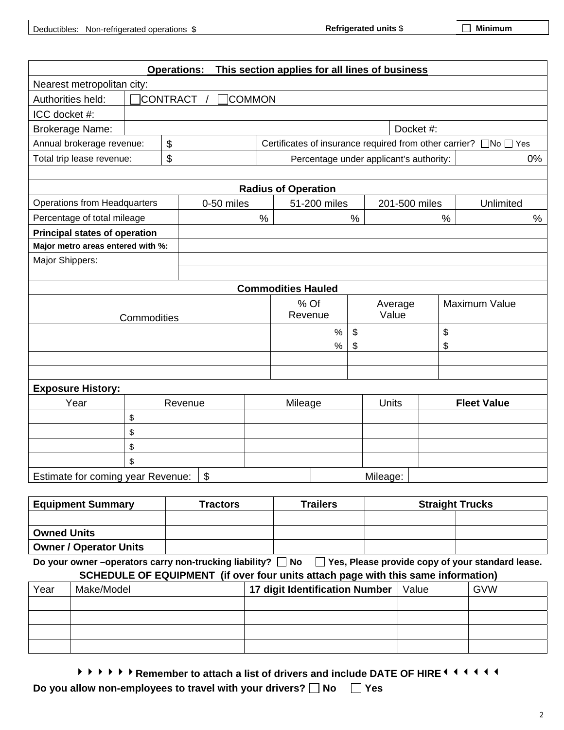|                                      |                                                                 | <b>Operations:</b> |               |      | This section applies for all lines of business |      |               |      |                                                                  |      |
|--------------------------------------|-----------------------------------------------------------------|--------------------|---------------|------|------------------------------------------------|------|---------------|------|------------------------------------------------------------------|------|
| Nearest metropolitan city:           |                                                                 |                    |               |      |                                                |      |               |      |                                                                  |      |
| Authorities held:                    |                                                                 | <b>CONTRACT</b>    | <b>COMMON</b> |      |                                                |      |               |      |                                                                  |      |
| ICC docket #:                        |                                                                 |                    |               |      |                                                |      |               |      |                                                                  |      |
| <b>Brokerage Name:</b>               |                                                                 |                    |               |      |                                                |      | Docket #:     |      |                                                                  |      |
| Annual brokerage revenue:            |                                                                 | \$                 |               |      |                                                |      |               |      | Certificates of insurance required from other carrier? □No □ Yes |      |
| Total trip lease revenue:            |                                                                 | \$                 |               |      | Percentage under applicant's authority:        |      |               |      |                                                                  | 0%   |
|                                      |                                                                 |                    |               |      | <b>Radius of Operation</b>                     |      |               |      |                                                                  |      |
| <b>Operations from Headquarters</b>  |                                                                 |                    | 0-50 miles    |      | 51-200 miles                                   |      | 201-500 miles |      | Unlimited                                                        |      |
| Percentage of total mileage          |                                                                 |                    |               | $\%$ |                                                | $\%$ |               | $\%$ |                                                                  | $\%$ |
| <b>Principal states of operation</b> |                                                                 |                    |               |      |                                                |      |               |      |                                                                  |      |
| Major metro areas entered with %:    |                                                                 |                    |               |      |                                                |      |               |      |                                                                  |      |
| Major Shippers:                      |                                                                 |                    |               |      |                                                |      |               |      |                                                                  |      |
|                                      |                                                                 |                    |               |      |                                                |      |               |      |                                                                  |      |
|                                      |                                                                 |                    |               |      | <b>Commodities Hauled</b>                      |      |               |      |                                                                  |      |
|                                      |                                                                 |                    |               |      | % Of                                           |      | Average       |      | Maximum Value                                                    |      |
|                                      | Commodities                                                     |                    |               |      | Revenue<br>Value                               |      |               |      |                                                                  |      |
|                                      |                                                                 |                    |               |      | $\%$                                           | \$   |               |      | \$                                                               |      |
|                                      |                                                                 |                    |               |      | $\%$                                           | \$   |               | \$   |                                                                  |      |
|                                      |                                                                 |                    |               |      |                                                |      |               |      |                                                                  |      |
|                                      |                                                                 |                    |               |      |                                                |      |               |      |                                                                  |      |
| <b>Exposure History:</b>             |                                                                 |                    |               |      |                                                |      |               |      |                                                                  |      |
| Year                                 |                                                                 | Revenue            |               |      | Mileage                                        |      | <b>Units</b>  |      | <b>Fleet Value</b>                                               |      |
|                                      | \$                                                              |                    |               |      |                                                |      |               |      |                                                                  |      |
|                                      | \$                                                              |                    |               |      |                                                |      |               |      |                                                                  |      |
|                                      | \$                                                              |                    |               |      |                                                |      |               |      |                                                                  |      |
|                                      | \$                                                              |                    |               |      |                                                |      |               |      |                                                                  |      |
|                                      | $\mathfrak{S}$<br>Estimate for coming year Revenue:<br>Mileage: |                    |               |      |                                                |      |               |      |                                                                  |      |
|                                      |                                                                 |                    |               |      |                                                |      |               |      |                                                                  |      |

| <b>Equipment Summary</b>      | Tractors | Trailers | <b>Straight Trucks</b> |
|-------------------------------|----------|----------|------------------------|
|                               |          |          |                        |
| <b>Owned Units</b>            |          |          |                        |
| <b>Owner / Operator Units</b> |          |          |                        |

Do your owner –operators carry non-trucking liability? □ No □ Yes, Please provide copy of your standard lease. **SCHEDULE OF EQUIPMENT (if over four units attach page with this same information)** 

|      | <u>UUITLUULL UI LUUII MLITT (II UVU TUUI UIIIIS AIIAUII PAYU WIIII IIIIS SAINU IIIIUIIIIAIUII)</u> |                                |       |            |  |  |  |  |
|------|----------------------------------------------------------------------------------------------------|--------------------------------|-------|------------|--|--|--|--|
| Year | Make/Model                                                                                         | 17 digit Identification Number | Value | <b>GVW</b> |  |  |  |  |
|      |                                                                                                    |                                |       |            |  |  |  |  |
|      |                                                                                                    |                                |       |            |  |  |  |  |
|      |                                                                                                    |                                |       |            |  |  |  |  |
|      |                                                                                                    |                                |       |            |  |  |  |  |

**A A A A A Remember to attach a list of drivers and include DATE OF HIRE<sup>444444</sup>** 

**Do you allow non-employees to travel with your drivers?** □ No □ Yes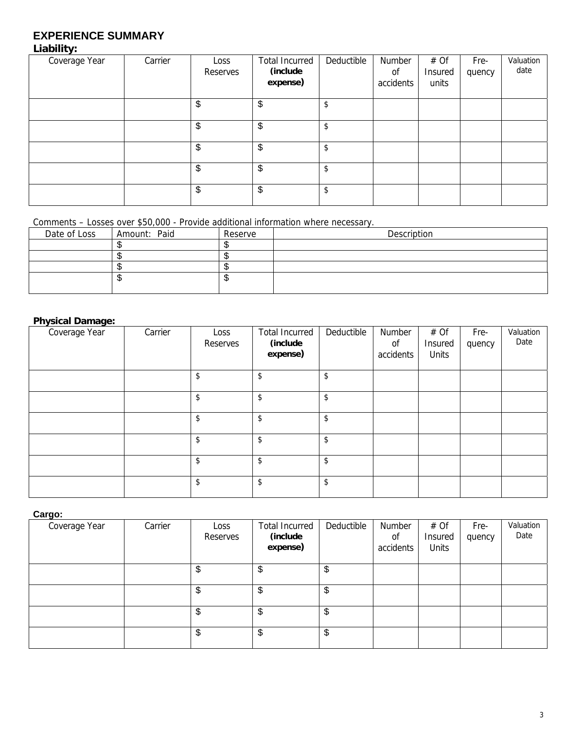# **EXPERIENCE SUMMARY**

## **Liability:**

| Coverage Year | Carrier | Loss<br>Reserves | <b>Total Incurred</b><br>(include<br>expense) | Deductible | Number<br>0f<br>accidents | # Of<br>Insured<br>units | Fre-<br>quency | Valuation<br>date |
|---------------|---------|------------------|-----------------------------------------------|------------|---------------------------|--------------------------|----------------|-------------------|
|               |         | \$               | \$                                            | \$         |                           |                          |                |                   |
|               |         | \$               | \$                                            | \$         |                           |                          |                |                   |
|               |         | \$               | \$                                            | \$         |                           |                          |                |                   |
|               |         | \$               | \$                                            | \$         |                           |                          |                |                   |
|               |         | \$               | \$                                            | \$         |                           |                          |                |                   |

Comments – Losses over \$50,000 - Provide additional information where necessary.

| Date of Loss | Amount: Paid | Reserve | Description |
|--------------|--------------|---------|-------------|
|              |              |         |             |
|              |              |         |             |
|              |              |         |             |
|              |              | ۰D      |             |
|              |              |         |             |

### **Physical Damage:**

| Coverage Year | Carrier | Loss<br>Reserves | <b>Total Incurred</b><br>(include<br>expense) | Deductible | Number<br>0f<br>accidents | # Of<br>Insured<br>Units | Fre-<br>quency | Valuation<br>Date |
|---------------|---------|------------------|-----------------------------------------------|------------|---------------------------|--------------------------|----------------|-------------------|
|               |         | \$               | \$                                            | \$         |                           |                          |                |                   |
|               |         | \$               | \$                                            | \$         |                           |                          |                |                   |
|               |         | \$               | \$                                            | \$         |                           |                          |                |                   |
|               |         | \$               | \$                                            | \$         |                           |                          |                |                   |
|               |         | \$               | \$                                            | \$         |                           |                          |                |                   |
|               |         | \$               | \$                                            | \$         |                           |                          |                |                   |

**Cargo:** 

| Coverage Year | Carrier | Loss<br>Reserves | <b>Total Incurred</b><br>(include<br>expense) | Deductible    | Number<br>0f<br>accidents | # Of<br><b>Insured</b><br><b>Units</b> | Fre-<br>quency | Valuation<br>Date |
|---------------|---------|------------------|-----------------------------------------------|---------------|---------------------------|----------------------------------------|----------------|-------------------|
|               |         | \$               | S                                             | \$            |                           |                                        |                |                   |
|               |         | \$               | S                                             | \$            |                           |                                        |                |                   |
|               |         | \$               | \$                                            | $\frac{1}{2}$ |                           |                                        |                |                   |
|               |         | \$               | \$                                            | $\frac{1}{2}$ |                           |                                        |                |                   |